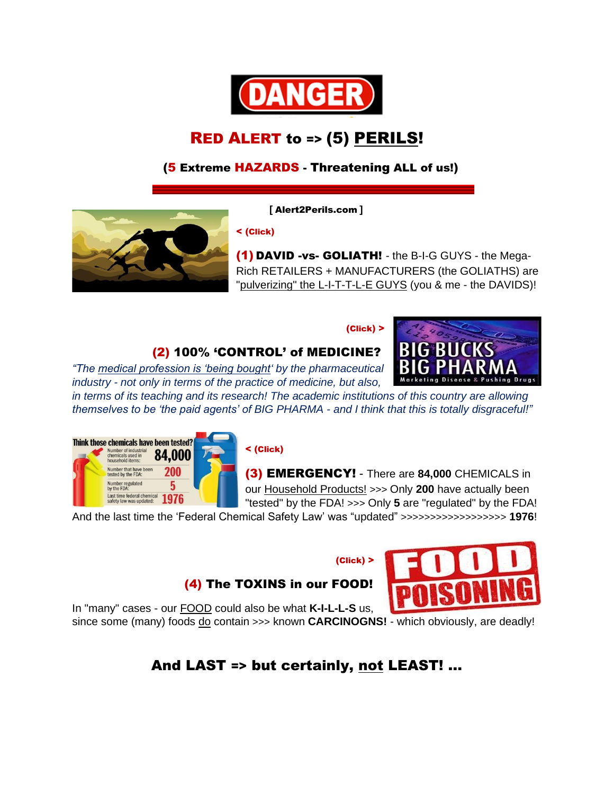

# RED ALERT to => (5) PERILS!

### (5 Extreme HAZARDS - Threatening ALL of us!)

 **[** Alert2Perils.com **]**

< (Click)

(1) DAVID -vs- GOLIATH! - the B-I-G GUYS - the Mega-Rich RETAILERS + MANUFACTURERS (the GOLIATHS) are "pulverizing" the L-I-T-T-L-E GUYS (you & me - the DAVIDS)!

**RIG BUC** 

ushing Drugs

#### (Click) >



*"The medical profession is 'being bought' by the pharmaceutical industry - not only in terms of the practice of medicine, but also,*

*in terms of its teaching and its research! The academic institutions of this country are allowing themselves to be 'the paid agents' of BIG PHARMA - and I think that this is totally disgraceful!"*



#### < (Click)

(3) EMERGENCY! - There are **84,000** CHEMICALS in our Household Products! >>> Only **200** have actually been "tested" by the FDA! >>> Only **5** are "regulated" by the FDA!

And the last time the 'Federal Chemical Safety Law' was "updated" >>>>>>>>>>>>>>>>>> **1976**!

#### (Click) >

### (4) The TOXINS in our FOOD!



In "many" cases - our FOOD could also be what **K-I-L-L-S** us, since some (many) foods <u>do</u> contain >>> known **CARCINOGNS!** - which obviously, are deadly!

## And LAST => but certainly, not LEAST! …